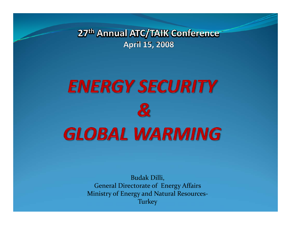27<sup>th</sup> Annual ATC/TAIK Conference **April 15, 2008** 

# **ENERGY SECURITY**  $\boldsymbol{\mathcal{S}}$ **GLOBAL WARMING**

Budak Dilli, General Directorate of Energy Affairs Ministry of Energy and Natural Resources‐ **Turkey**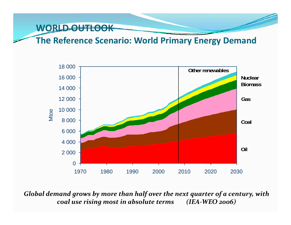**The Reference Scenario: World Primary Energy Demand**



*Global demand grows by more than half over the next quarter of <sup>a</sup> century, with coal use rising most in absolute terms (IEA‐WEO 2006)*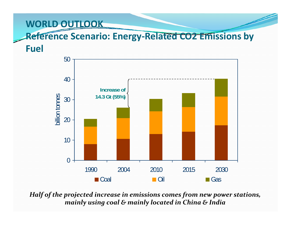#### **Reference Scenario: Energy‐Related CO2 Emissions by**

**Fuel**



*Half of the projected increase in emissions comes from new power stations, mainly using coal & mainly located in China & India*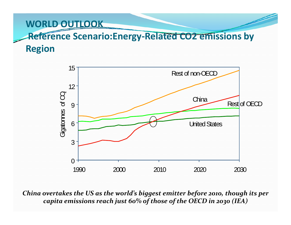### **Reference Scenario:Energy‐Related CO2 emissions by Region**



*China overtakes the US as the world's biggest emitter before 2010, though its per capita emissions reach just 60% of those of the OECD in <sup>2030</sup> (IEA)*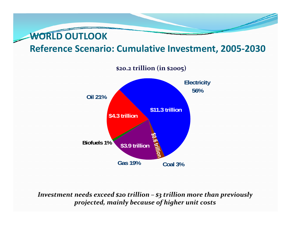#### **Reference Scenario: Cumulative Investment, 2005‐2030**



*Investment needs exceed \$20 trillion – \$3 trillion more than previously projected, mainly because of higher unit costs*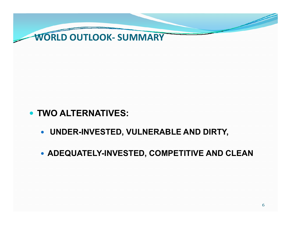

- y **TWO ALTERNATIVES:** 
	- y **UNDER-INVESTED, VULNERABLE AND DIRTY,**
	- y **ADEQUATELY-INVESTED, COMPETITIVE AND CLEAN**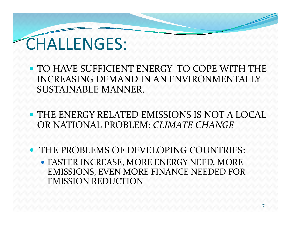

- TO HAVE SUFFICIENT ENERGY TO COPE WITH THE INCREASING DEMAND IN AN ENVIRONMENTALLY SUSTAINABLE MANNER.
- THE ENERGY RELATED EMISSIONS IS NOT A LOCAL OR NATIONAL PROBLEM: *CLIMATE CHANGE*
- THE PROBLEMS OF DEVELOPING COUNTRIES:
	- FASTER INCREASE, MORE ENERGY NEED, MORE EMISSIONS, EVEN MORE FINANCE NEEDED FOR EMISSION REDUCTION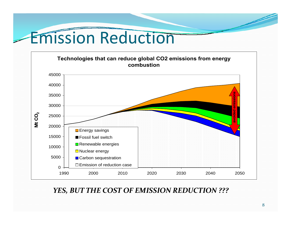### Emission Reduction



#### *YES, BUT THE COST OF EMISSION REDUCTION ???*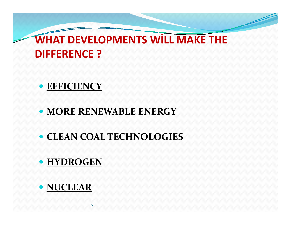### **WHAT DEVELOPMENTS WILL MAKE THE DIFFERENCE ?**

#### **• EFFICIENCY**

#### y **MORE RENEWABLE ENERGY**

#### y **CLEAN COAL TECHNOLOGIES**

#### **• HYDROGEN**

#### **• NUCLEAR**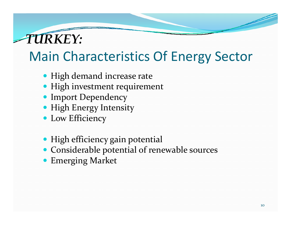

### Main Characteristics Of Energy Sector

- High demand increase rate
- High investment requirement
- Import Dependency
- High Energy Intensity
- Low Efficiency
- High efficiency gain potential
- Considerable potential of renewable sources
- **Emerging Market**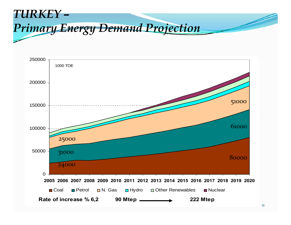#### *TURKEY –Primary Energy Demand Projection*

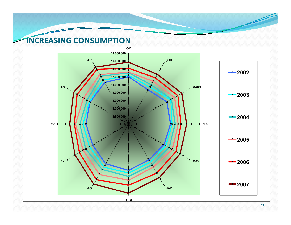#### **INCREASING CONSUMPTION**

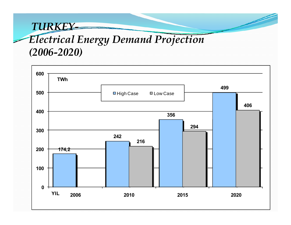### *TURKEY-Electrical Energy Demand Projection (2006-2020)*

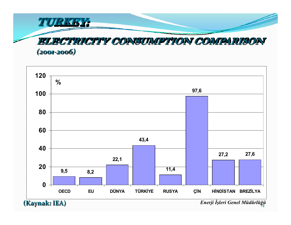



**(Kaynak: IEA)** *Enerji İşleri Genel Müdürlüğü*<sup>14</sup>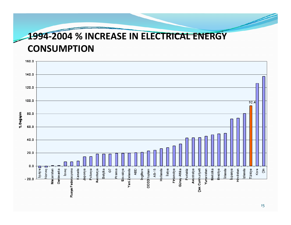#### **‐2004 % INCREASE IN ELECTRICAL ENERGY CONSUMPTION**

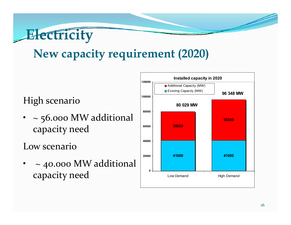

### **New capacity requirement (2020)**

• <sup>~</sup> 56.000 MW additional capacity need

Low scenario

• <sup>~</sup> 40.000 MW additional capacity need

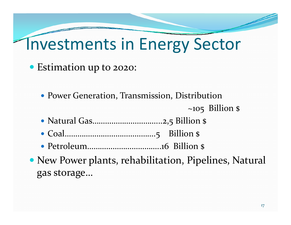## Investments in Energy Sector

- Estimation up to 2020:
	- Power Generation, Transmission, Distribution

 $\sim$ 105 Billion \$

- y Natural Gas…………………………...2,5 Billion \$
- y Coal…………………………………….5 Billion \$
- y Petroleum……………………………..16 Billion \$
- New Power plants, rehabilitation, Pipelines, Natural gas storage…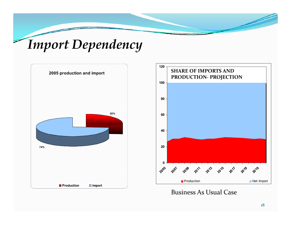### *Import Dependency*





Business As Usual Case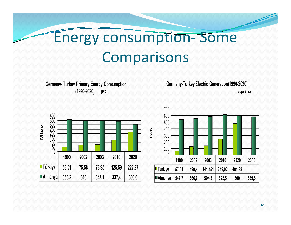#### Energy consumption ‐ Some Comparisons

**Germany- Turkey Primary Energy Consumption (1990-2020) (IEA)**

**Germany-Turkey Electric Generation(1990-2030)**

*kaynak:iea*



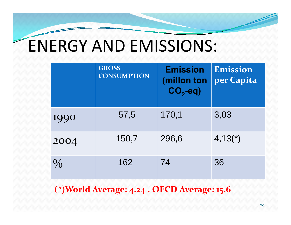## ENERGY AND EMISSIONS:

|               | <b>GROSS</b><br><b>CONSUMPTION</b> | <b>Emission</b><br>(millon ton<br>$CO2-eq$ ) | Emission<br>per Capita |
|---------------|------------------------------------|----------------------------------------------|------------------------|
| 1990          | 57,5                               | 170,1                                        | 3,03                   |
| 2004          | 150,7                              | 296,6                                        | $4,13(*)$              |
| $\frac{0}{0}$ | 162                                | 74                                           | 36                     |

**(\*)World Average: 4.24 , OECD Average: 15.<sup>6</sup>**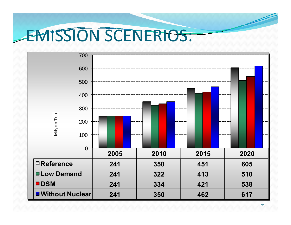## EMISSION SCENERIOS:

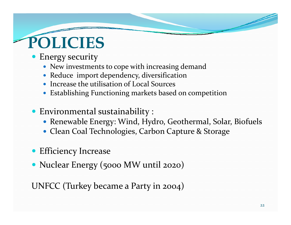# **POLICIES**

- Energy security
	- New investments to cope with increasing demand
	- Reduce import dependency, diversification
	- Increase the utilisation of Local Sources
	- Establishing Functioning markets based on competition
- **Environmental sustainability :** 
	- Renewable Energy: Wind, Hydro, Geothermal, Solar, Biofuels
	- Clean Coal Technologies, Carbon Capture & Storage
- **•** Efficiency Increase
- Nuclear Energy (5000 MW until 2020)

UNFCC (Turkey became <sup>a</sup> Party in 2004)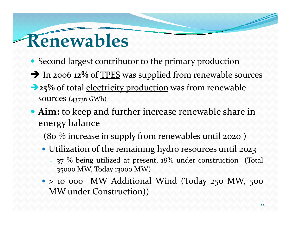## **Renewables**

- Second largest contributor to the primary production
- $\rightarrow$  In 2006 12% of TPES was supplied from renewable sources
- **25%** of total electricity production was from renewable sources (43736 GWh)
- **Aim:** to keep and further increase renewable share in energy balance
	- (80 % increase in supply from renewables until <sup>2020</sup> )
	- Utilization of the remaining hydro resources until 2023
		- 37  $\%$  being utilized at present, 18 $\%$  under construction (Total <sup>35000</sup> MW, Today <sup>13000</sup> MW)
	- > 10 000 MW Additional Wind (Today 250 MW, 500 MW under Construction))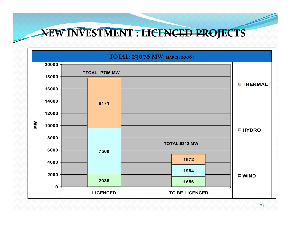**NEW INVESTMENT : LICENCED PROJECTS**

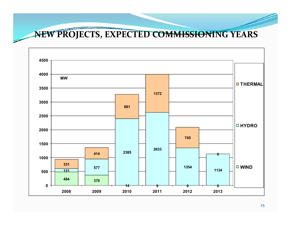**NEW PROJECTS, EXPECTED COMMISSIONING YEARS**